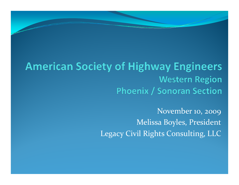#### **American Society of Highway Engineers Western Region Phoenix / Sonoran Section**

November 10, 2009 Melissa Boyles, President Legacy Civil Rights Consulting, LLC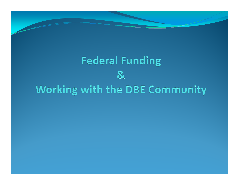# **Federal Funding**  $\mathbf{g}$ Working with the DBE Community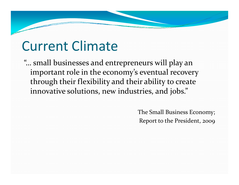# Current Climate

"… small businesses and entrepreneurs will play an important role in the economy's eventual recovery through their flexibility and their ability to create innovative solutions, new industries, and jobs."

> The Small Business Economy; Report to the President, 2009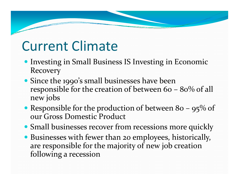# Current Climate

- **Investing in Small Business IS Investing in Economic** Recovery
- Since the 1990's small businesses have been responsible for the creation of between 60 – 80% of all new jobs
- Responsible for the production of between 80 95% of our Gross Domestic Product
- Small businesses recover from recessions more quickly
- Businesses with fewer than <sup>20</sup> employees, historically, are responsible for the majority of new job creation following <sup>a</sup> recession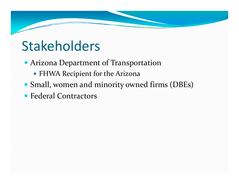# Stakeholders

- Arizona Department of Transportation
	- FHWA Recipient for the Arizona
- Small, women and minority owned firms (DBEs)
- Federal Contractors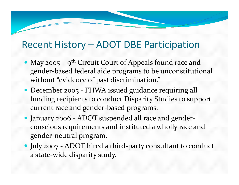#### Recent History – ADOT DBE Participation

- May 2005  $9^{th}$  Circuit Court of Appeals found race and gender‐based federal aide programs to be unconstitutional without "evidence of past discrimination."
- December 2005 FHWA issued guidance requiring all funding recipients to conduct Disparity Studies to suppor<sup>t</sup> current race and gender‐based programs.
- January 2006 ‐ ADOT suspended all race and gender‐ conscious requirements and instituted <sup>a</sup> wholly race and gender‐neutral program.
- July <sup>2007</sup> ‐ ADOT hired <sup>a</sup> third‐party consultant to conduct a state‐wide disparity study.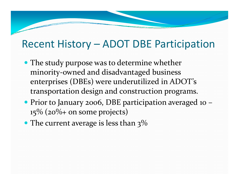#### Recent History – ADOT DBE Participation

- The study purpose was to determine whether minority-owned and disadvantaged business enterprises (DBEs) were underutilized in ADOT's transportation design and construction programs.
- Prior to January 2006, DBE participation averaged <sup>10</sup>  $15\%$  ( $20\%$ + on some projects)
- The current average is less than  $3\%$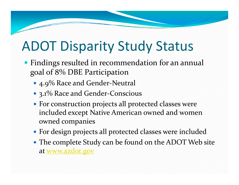# ADOT Disparity Study Status

- Findings resulted in recommendation for an annual goal of 8% DBE Participation
	- $4.9\%$  Race and Gender-Neutral
	- 3.1% Race and Gender-Conscious
	- For construction projects all protected classes were included excep<sup>t</sup> Native American owned and women owned companies
	- For design projects all protected classes were included
	- The complete Study can be found on the ADOT Web site at <u>www.azdot.gov</u>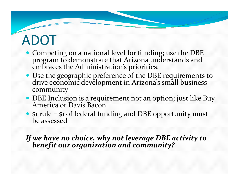# ADOT

- Competing on <sup>a</sup> national level for funding; use the DBE program to demonstrate that Arizona understands and the Administration's priorities.
- Use the geographic preference of the DBE requirements to drive economic development in Arizona's small business rive economic development in Arizona's small business community
- DBE Inclusion is <sup>a</sup> requirement not an option; just like Buy America or Davis Bacon
- \$1 rule = \$1 of federal funding and DBE opportunity must<br>be assessed be assessed

# *If we have no choice, why not leverage DBE activity to benefit our organization and community?*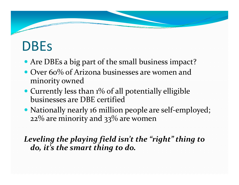### DBEs

- Are DBEs <sup>a</sup> big par<sup>t</sup> of the small business impact?
- Over 60% of Arizona businesses are women and minority owned
- Currently less than 1% of all potentially elligible businesses are DBE certified
- Nationally nearly 16 million people are self-employed; 22% are minority and 33% are women

*Leveling the playing field isn't the "right" thing to do, it's the smart thing to do.*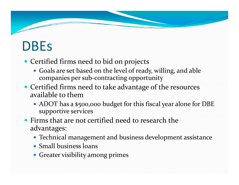# DBEs

- Certified firms need to bid on projects
	- Goals are set based on the level of ready, willing, and able companies per sub-contracting opportunity
- Certified firms need to take advantage of the resources available to them
	- ADOT has a \$500,000 budget for this fiscal year alone for DBE supportive services
- Firms that are not certified need to research the advantages:
	- Technical managemen<sup>t</sup> and business development assistance
	- Small business loans
	- Greater visibility among primes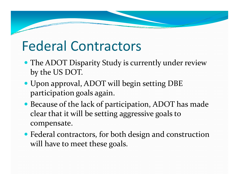# Federal Contractors

- The ADOT Disparity Study is currently under review by the US DOT.
- Upon approval, ADOT will begin setting DBE participation goals again.
- Because of the lack of participation, ADOT has made clear that it will be setting aggressive goals to compensate.
- Federal contractors, for both design and construction will have to meet these goals.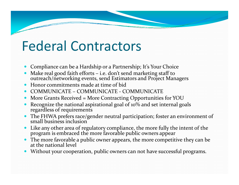### Federal Contractors

- 0 Compliance can be <sup>a</sup> Hardship or <sup>a</sup> Partnership; It's Your Choice
- 0 Make real good faith efforts – i.e. don't send marketing staff to outreach/networking events, send Estimators and Project Managers
- 0 Honor commitments made at time of bid
- 0 ● COMMUNICATE – COMMUNICATE - COMMUNICATE
- O More Grants Received <sup>=</sup> More Contracting Opportunities for YOU
- 0 Recognize the national aspirational goal of 10% and set internal goals regardless of requirements
- 0 • The FHWA prefers race/gender neutral participation; foster an environment of small business inclusion business inclusion
- 0  $\bullet$  Like any other area of regulatory compliance, the more fully the intent of the program is embraced the more favorable public owners appear
- 0 The more favorable <sup>a</sup> public owner appears, the more competitive they can be at the national level
- 0 • Without your cooperation, public owners can not have successful programs.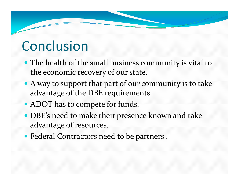# Conclusion

- The health of the small business community is vital to the economic recovery of our state.
- A way to suppor<sup>t</sup> that par<sup>t</sup> of our community is to take advantage of the DBE requirements.
- ADOT has to compete for funds.
- DBE's need to make their presence known and take advantage of resources.
- Federal Contractors need to be partners .